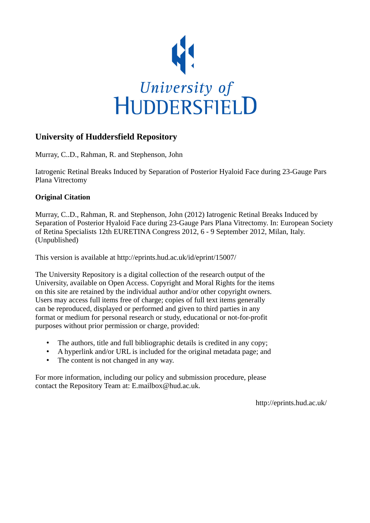

#### **University of Huddersfield Repository**

Murray, C..D., Rahman, R. and Stephenson, John

Iatrogenic Retinal Breaks Induced by Separation of Posterior Hyaloid Face during 23-Gauge Pars Plana Vitrectomy

#### **Original Citation**

Murray, C..D., Rahman, R. and Stephenson, John (2012) Iatrogenic Retinal Breaks Induced by Separation of Posterior Hyaloid Face during 23-Gauge Pars Plana Vitrectomy. In: European Society of Retina Specialists 12th EURETINA Congress 2012, 6 - 9 September 2012, Milan, Italy. (Unpublished)

This version is available at http://eprints.hud.ac.uk/id/eprint/15007/

The University Repository is a digital collection of the research output of the University, available on Open Access. Copyright and Moral Rights for the items on this site are retained by the individual author and/or other copyright owners. Users may access full items free of charge; copies of full text items generally can be reproduced, displayed or performed and given to third parties in any format or medium for personal research or study, educational or not-for-profit purposes without prior permission or charge, provided:

- The authors, title and full bibliographic details is credited in any copy;
- A hyperlink and/or URL is included for the original metadata page; and
- The content is not changed in any way.

For more information, including our policy and submission procedure, please contact the Repository Team at: E.mailbox@hud.ac.uk.

http://eprints.hud.ac.uk/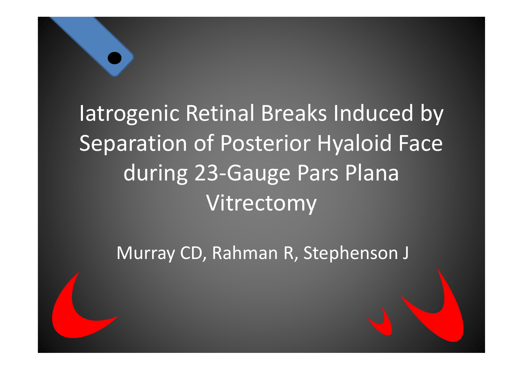# Iatrogenic Retinal Breaks Induced by Separation of Posterior Hyaloid Face during 23-Gauge Pars Plana Vitrectomy

Murray CD, Rahman R, Stephenson J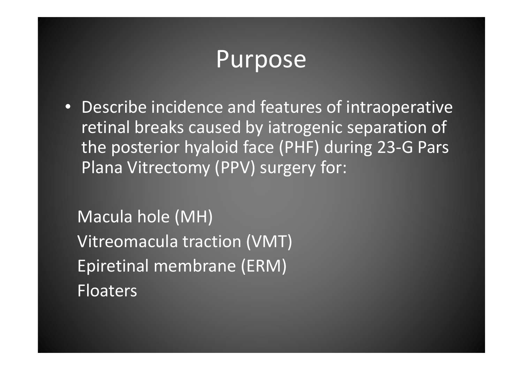### Purpose

• Describe incidence and features of intraoperative retinal breaks caused by iatrogenic separation of the posterior hyaloid face (PHF) during 23-G Pars Plana Vitrectomy (PPV) surgery for:

Macula hole (MH)Vitreomacula traction (VMT) Epiretinal membrane (ERM) Floaters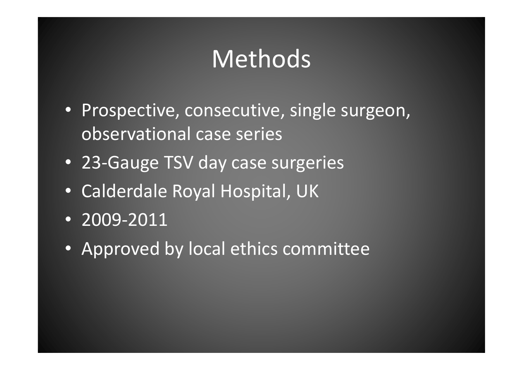## Methods

- Prospective, consecutive, single surgeon, observational case series
- 23-Gauge TSV day case surgeries
- Calderdale Royal Hospital, UK
- 2009-2011
- Approved by local ethics committee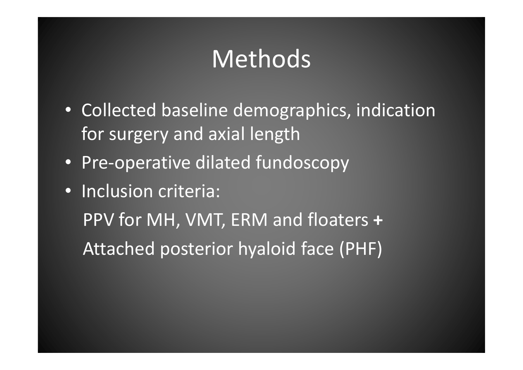## Methods

- Collected baseline demographics, indication for surgery and axial length
- Pre-operative dilated fundoscopy
- Inclusion criteria: PPV for MH, VMT, ERM and floaters +Attached posterior hyaloid face (PHF)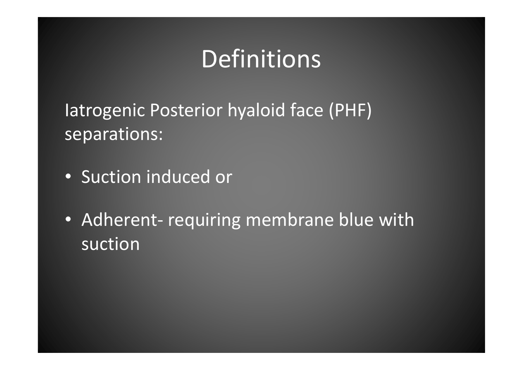## Definitions

Iatrogenic Posterior hyaloid face (PHF) separations:

- Suction induced or
- Adherent- requiring membrane blue with suction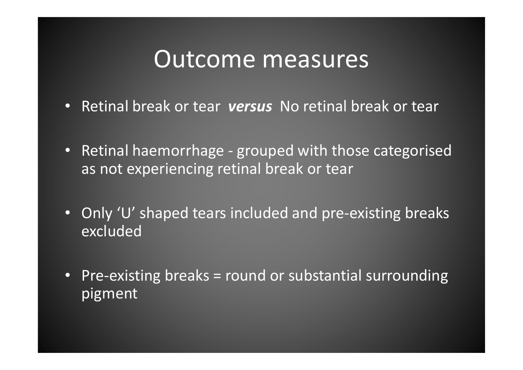#### Outcome measures

- Retinal break or tear versus No retinal break or tear
- Retinal haemorrhage grouped with those categorised as not experiencing retinal break or tear
- Only 'U' shaped tears included and pre-existing breaks excluded
- Pre-existing breaks = round or substantial surroundingpigment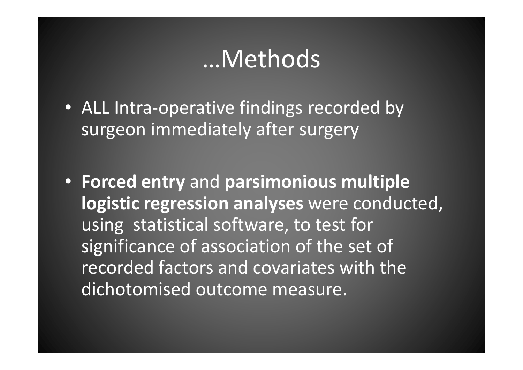#### …Methods

- ALL Intra-operative findings recorded by surgeon immediately after surgery
- Forced entry and parsimonious multiple logistic regression analyses were conducted, using statistical software, to test for significance of association of the set of recorded factors and covariates with the dichotomised outcome measure.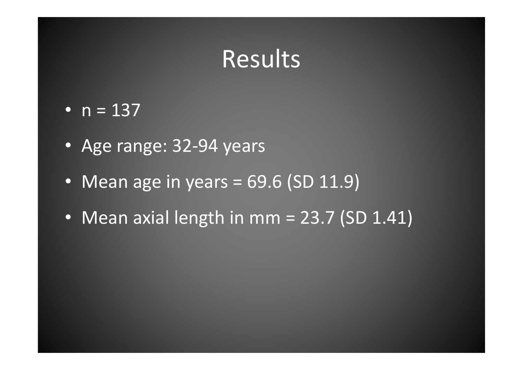- $n = 137$
- Age range: 32-94 years
- Mean age in years = 69.6 (SD 11.9)
- Mean axial length in mm = 23.7 (SD 1.41)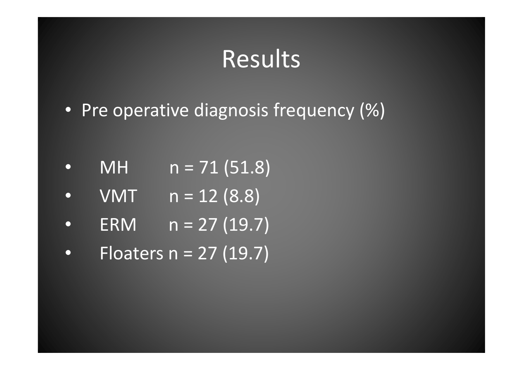- Pre operative diagnosis frequency (%)
- •MH  $n = 71 (51.8)$
- • $VMT$   $n = 12 (8.8)$
- •ERM  $n = 27 (19.7)$
- •Floaters n = 27 (19.7)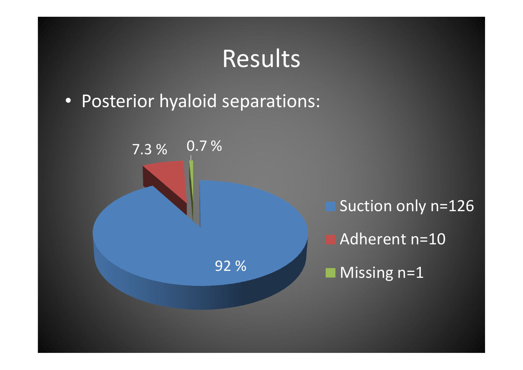• Posterior hyaloid separations:

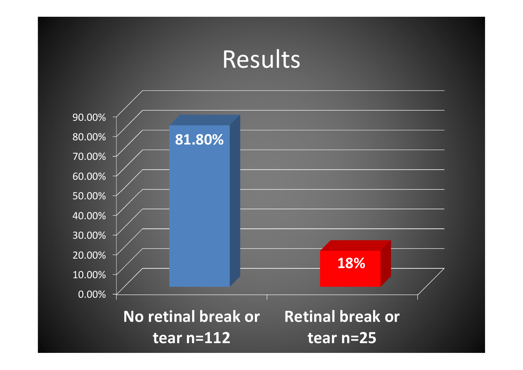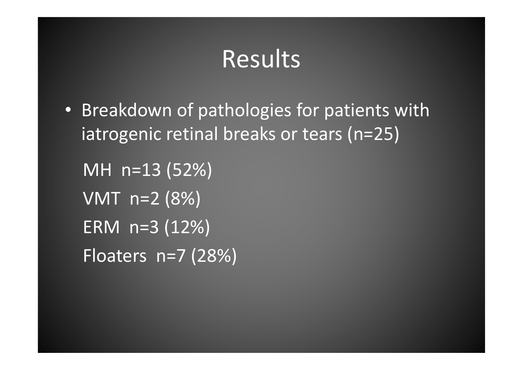• Breakdown of pathologies for patients with iatrogenic retinal breaks or tears (n=25)

MH n=13 (52%) $\overline{\text{VMT}}$  n=2 (8%) ERM n=3 (12%)Floaters n=7 (28%)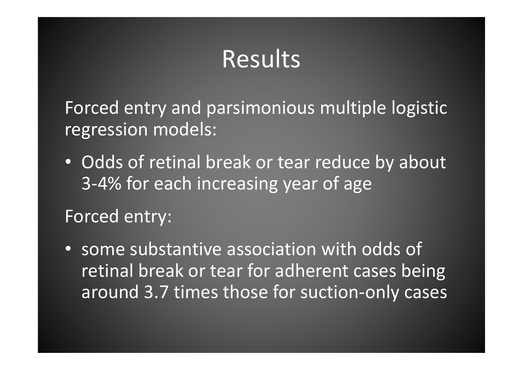Forced entry and parsimonious multiple logistic regression models:

• Odds of retinal break or tear reduce by about 3-4% for each increasing year of age

Forced entry:

• some substantive association with odds of retinal break or tear for adherent cases being around 3.7 times those for suction-only cases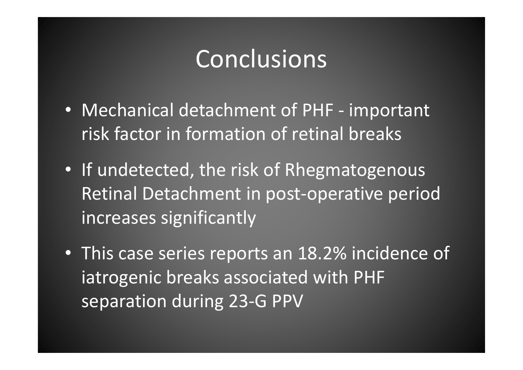### Conclusions

- Mechanical detachment of PHF important risk factor in formation of retinal breaks
- If undetected, the risk of RhegmatogenousRetinal Detachment in post-operative period increases significantly
- This case series reports an 18.2% incidence of iatrogenic breaks associated with PHF separation during 23-G PPV